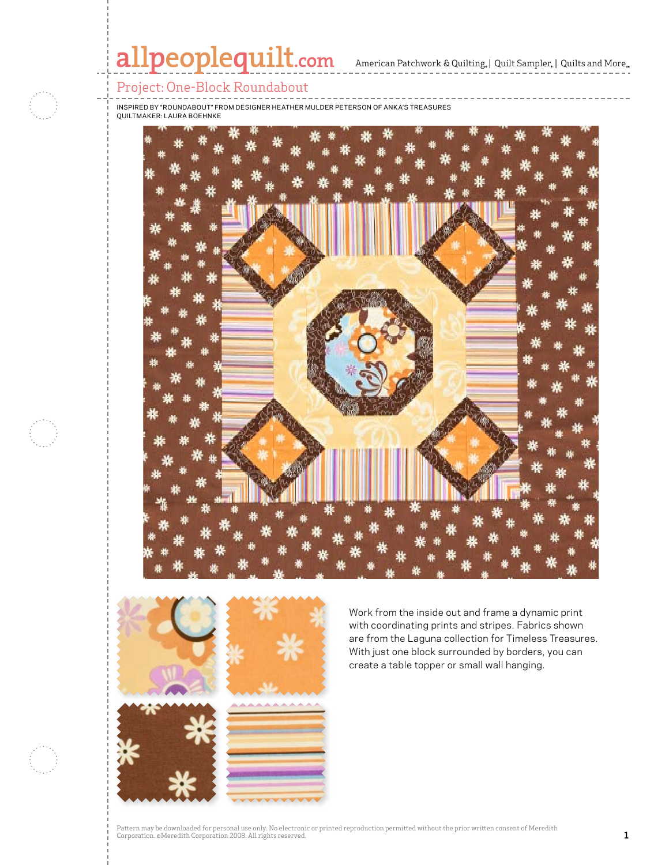# allpeoplequilt.com<br>American Patchwork & Quilting, | Quilt Sampler, | Quilts and More..



Inspired by "Roundabout" From Designer Heather Mulder Peterson of Anka's Treasures Quiltmaker: Laura Boehnke





Work from the inside out and frame a dynamic print with coordinating prints and stripes. Fabrics shown are from the Laguna collection for Timeless Treasures. With just one block surrounded by borders, you can create a table topper or small wall hanging.

Pattern may be downloaded for personal use only. No electronic or printed reproduction permitted without the prior written consent of Meredith Corporation. ©Meredith Corporation 2008. All rights reserved. Princet exposured in principle in prince enter the corporation of the corporation of  $\mathbf 1$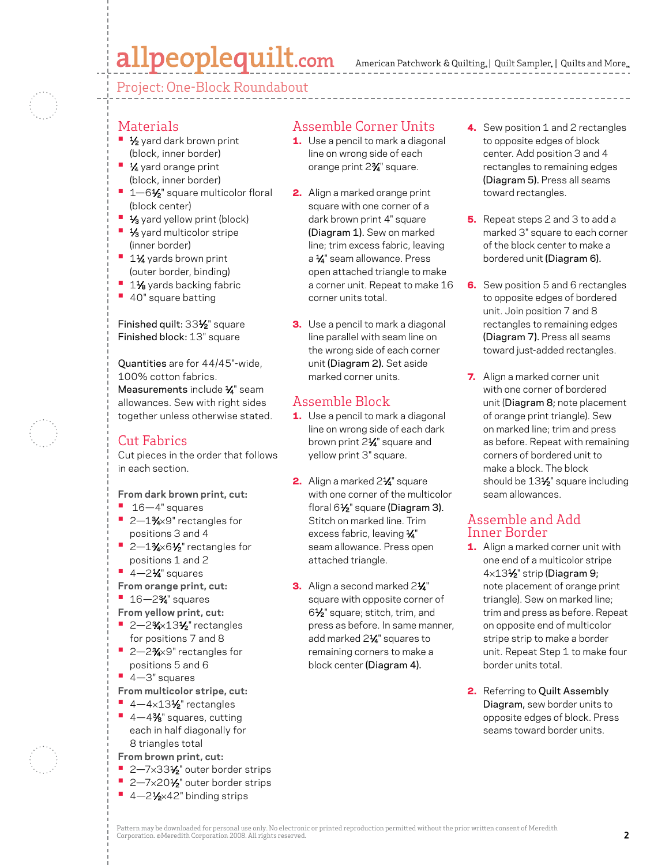# allpeoplequilt.com

American Patchwork & Quilting, | Quilt Sampler, | Quilts and More...

Project: One-Block Roundabout

#### Materials

- **1/<sub>2</sub>** yard dark brown print (block, inner border)
- **1⁄4** yard orange print (block, inner border)
- **•** 1-61/<sub>2</sub>" square multicolor floral (block center)
- **1/3** yard yellow print (block)
- **1/3** yard multicolor stripe (inner border)
- **<sup>■</sup>** 1½ yards brown print (outer border, binding)
- **<sup>■</sup>** 1<sup>1</sup>⁄<sub>8</sub> yards backing fabric
- **•**  40" square batting

Finished quilt: 331⁄2" square Finished block: 13" square

Quantities are for 44/45"-wide, 100% cotton fabrics. Measurements include 1/4" seam allowances. Sew with right sides together unless otherwise stated.

### Cut Fabrics

Cut pieces in the order that follows in each section.

**From dark brown print, cut:**

- **•**  16—4" squares
- 2-1<sup>3</sup>⁄<sub>4</sub>×9" rectangles for positions 3 and 4
- 2-1%×6<sup>1</sup>/<sub>2</sub>" rectangles for positions 1 and 2
- **•** 4-2<sup>1</sup>⁄4" squares
- **From orange print, cut:**
- **•**  16—23⁄4" squares
- **From yellow print, cut:**
- **2–2%×13½** rectangles for positions 7 and 8
- 2–2<sup>3</sup>⁄<sub>2×9</sub>" rectangles for positions 5 and 6
- **•**  4—3" squares
- **From multicolor stripe, cut:**
- $\blacksquare$  4-4×13½" rectangles
- 4-4% squares, cutting each in half diagonally for 8 triangles total
- **From brown print, cut:**
- 2-7×33½" outer border strips
- 2–7×20<sup>1</sup>/<sub>2</sub>" outer border strips
- 4–2<sup>1</sup>⁄<sub>2</sub>×42" binding strips

### Assemble Corner Units

- **1.** Use a pencil to mark a diagonal line on wrong side of each orange print 2%<sup>"</sup> square.
- 2. Align a marked orange print square with one corner of a dark brown print 4" square (Diagram 1). Sew on marked line; trim excess fabric, leaving a 1/4" seam allowance. Press open attached triangle to make a corner unit. Repeat to make 16 corner units total.
- **3.** Use a pencil to mark a diagonal line parallel with seam line on the wrong side of each corner unit (Diagram 2). Set aside marked corner units.

### Assemble Block

- 1. Use a pencil to mark a diagonal line on wrong side of each dark brown print 2<sup>1/4</sup> square and yellow print 3" square.
- 2. Align a marked 21⁄4" square with one corner of the multicolor floral 61⁄2" square (Diagram 3). Stitch on marked line. Trim excess fabric, leaving  $\frac{1}{4}$ " seam allowance. Press open attached triangle.
- 3. Align a second marked 21⁄4" square with opposite corner of 61⁄2" square; stitch, trim, and press as before. In same manner, add marked 21⁄4" squares to remaining corners to make a block center (Diagram 4).
- 4. Sew position 1 and 2 rectangles to opposite edges of block center. Add position 3 and 4 rectangles to remaining edges (Diagram 5). Press all seams toward rectangles.
- 5. Repeat steps 2 and 3 to add a marked 3" square to each corner of the block center to make a bordered unit (Diagram 6).
- 6. Sew position 5 and 6 rectangles to opposite edges of bordered unit. Join position 7 and 8 rectangles to remaining edges (Diagram 7). Press all seams toward just-added rectangles.
- 7. Align a marked corner unit with one corner of bordered unit (Diagram 8; note placement of orange print triangle). Sew on marked line; trim and press as before. Repeat with remaining corners of bordered unit to make a block. The block should be 13<sup>1/2</sup> square including seam allowances.

#### Assemble and Add Inner Border

- 1. Align a marked corner unit with one end of a multicolor stripe 4×131⁄2" strip (Diagram 9; note placement of orange print triangle). Sew on marked line; trim and press as before. Repeat on opposite end of multicolor stripe strip to make a border unit. Repeat Step 1 to make four border units total.
- 2. Referring to Quilt Assembly Diagram, sew border units to opposite edges of block. Press seams toward border units.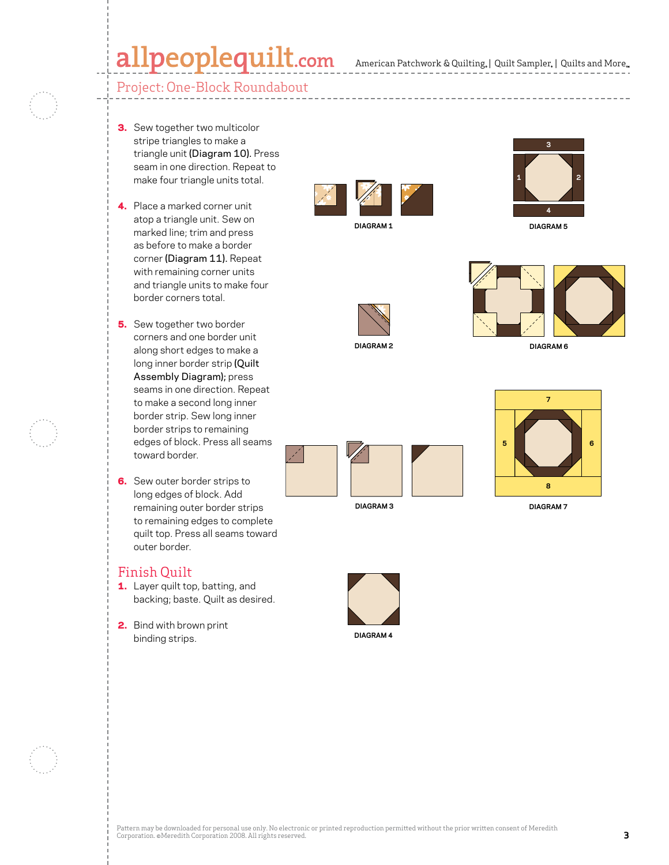## $\textbf{alpeople}$ quilt.com American Patchwork & Quilting, | Quilt Sampler, | Quilts and More...

### Project: One-Block Roundabout

- **3.** Sew together two multicolor stripe triangles to make a triangle unit (Diagram 10). Press seam in one direction. Repeat to make four triangle units total.
- 4. Place a marked corner unit atop a triangle unit. Sew on marked line; trim and press as before to make a border corner (Diagram 11). Repeat with remaining corner units and triangle units to make four border corners total.
- **5.** Sew together two border corners and one border unit along short edges to make a long inner border strip (Quilt Assembly Diagram); press seams in one direction. Repeat to make a second long inner border strip. Sew long inner border strips to remaining edges of block. Press all seams toward border.
- **6.** Sew outer border strips to long edges of block. Add remaining outer border strips to remaining edges to complete quilt top. Press all seams toward outer border.

#### Finish Quilt

- 1. Layer quilt top, batting, and backing; baste. Quilt as desired.
- 2. Bind with brown print binding strips.







**Diagram 1**





**DIAGRAM 6**



**DIAGRAM 3**



**C. Neubauer 4-11-08 DIAGRAM 7**



**DIAGRAM 4**